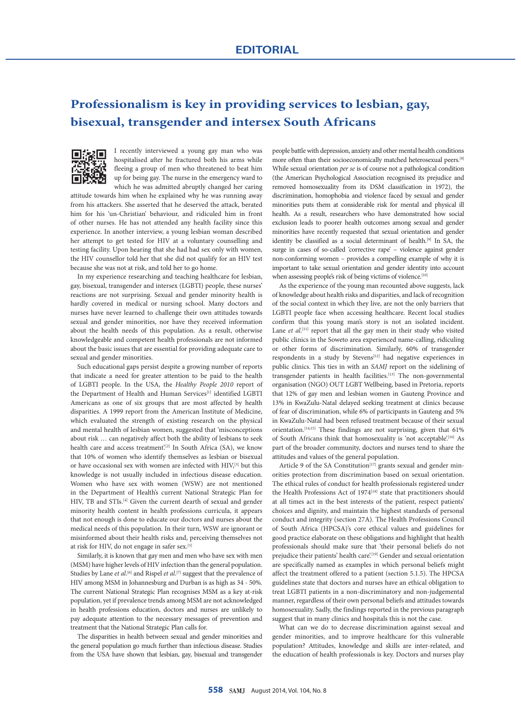## **Professionalism is key in providing services to lesbian, gay, bisexual, transgender and intersex South Africans**



I recently interviewed a young gay man who was hospitalised after he fractured both his arms while fleeing a group of men who threatened to beat him up for being gay. The nurse in the emergency ward to which he was admitted abruptly changed her caring

attitude towards him when he explained why he was running away from his attackers. She asserted that he deserved the attack, berated him for his 'un-Christian' behaviour, and ridiculed him in front of other nurses. He has not attended any health facility since this experience. In another interview, a young lesbian woman described her attempt to get tested for HIV at a voluntary counselling and testing facility. Upon hearing that she had had sex only with women, the HIV counsellor told her that she did not qualify for an HIV test because she was not at risk, and told her to go home.

In my experience researching and teaching healthcare for lesbian, gay, bisexual, transgender and intersex (LGBTI) people, these nurses' reactions are not surprising. Sexual and gender minority health is hardly covered in medical or nursing school. Many doctors and nurses have never learned to challenge their own attitudes towards sexual and gender minorities, nor have they received information about the health needs of this population. As a result, otherwise knowledgeable and competent health professionals are not informed about the basic issues that are essential for providing adequate care to sexual and gender minorities.

Such educational gaps persist despite a growing number of reports that indicate a need for greater attention to be paid to the health of LGBTI people. In the USA, the *Healthy People 2010* report of the Department of Health and Human Services[1] identified LGBTI Americans as one of six groups that are most affected by health disparities. A 1999 report from the American Institute of Medicine, which evaluated the strength of existing research on the physical and mental health of lesbian women, suggested that 'misconceptions about risk … can negatively affect both the ability of lesbians to seek health care and access treatment'.<sup>[2]</sup> In South Africa (SA), we know that 10% of women who identify themselves as lesbian or bisexual or have occasional sex with women are infected with HIV,[3] but this knowledge is not usually included in infectious disease education. Women who have sex with women (WSW) are not mentioned in the Department of Health's current National Strategic Plan for HIV, TB and STIs.[4] Given the current dearth of sexual and gender minority health content in health professions curricula, it appears that not enough is done to educate our doctors and nurses about the medical needs of this population. In their turn, WSW are ignorant or misinformed about their health risks and, perceiving themselves not at risk for HIV, do not engage in safer sex.[5]

Similarly, it is known that gay men and men who have sex with men (MSM) have higher levels of HIV infection than the general population. Studies by Lane *et al*.<sup>[6]</sup> and Rispel *et al*.<sup>[7]</sup> suggest that the prevalence of HIV among MSM in Johannesburg and Durban is as high as 34 - 50%. The current National Strategic Plan recognises MSM as a key at-risk population, yet if prevalence trends among MSM are not acknowledged in health professions education, doctors and nurses are unlikely to pay adequate attention to the necessary messages of prevention and treatment that the National Strategic Plan calls for.

The disparities in health between sexual and gender minorities and the general population go much further than infectious disease. Studies from the USA have shown that lesbian, gay, bisexual and transgender

people battle with depression, anxiety and other mental health conditions more often than their socioeconomically matched heterosexual peers.[8] While sexual orientation *per se* is of course not a pathological condition (the American Psychological Association recognised its prejudice and removed homosexuality from its DSM classification in 1972), the discrimination, homophobia and violence faced by sexual and gender minorities puts them at considerable risk for mental and physical ill health. As a result, researchers who have demonstrated how social exclusion leads to poorer health outcomes among sexual and gender minorities have recently requested that sexual orientation and gender identity be classified as a social determinant of health.<sup>[9]</sup> In SA, the surge in cases of so-called 'corrective rape' – violence against gender non-conforming women – provides a compelling example of why it is important to take sexual orientation and gender identity into account when assessing people's risk of being victims of violence.<sup>[10]</sup>

As the experience of the young man recounted above suggests, lack of knowledge about health risks and disparities, and lack of recognition of the social context in which they live, are not the only barriers that LGBTI people face when accessing healthcare. Recent local studies confirm that this young man's story is not an isolated incident. Lane *et al.*<sup>[11]</sup> report that all the gay men in their study who visited public clinics in the Soweto area experienced name-calling, ridiculing or other forms of discrimination. Similarly, 60% of transgender respondents in a study by Stevens<sup>[12]</sup> had negative experiences in public clinics. This ties in with an *SAMJ* report on the sidelining of transgender patients in health facilities.<sup>[13]</sup> The non-governmental organisation (NGO) OUT LGBT Wellbeing, based in Pretoria, reports that 12% of gay men and lesbian women in Gauteng Province and 13% in KwaZulu-Natal delayed seeking treatment at clinics because of fear of discrimination, while 6% of participants in Gauteng and 5% in KwaZulu-Natal had been refused treatment because of their sexual orientation.<sup>[14,15]</sup> These findings are not surprising, given that 61% of South Africans think that homosexuality is 'not acceptable'.<sup>[16]</sup> As part of the broader community, doctors and nurses tend to share the attitudes and values of the general population.

Article 9 of the SA Constitution<sup>[17]</sup> grants sexual and gender minorities protection from discrimination based on sexual orientation. The ethical rules of conduct for health professionals registered under the Health Professions Act of 1974<sup>[18]</sup> state that practitioners should at all times act in the best interests of the patient, respect patients' choices and dignity, and maintain the highest standards of personal conduct and integrity (section 27A). The Health Professions Council of South Africa (HPCSA)'s core ethical values and guidelines for good practice elaborate on these obligations and highlight that health professionals should make sure that 'their personal beliefs do not prejudice their patients' health care'.<sup>[19]</sup> Gender and sexual orientation are specifically named as examples in which personal beliefs might affect the treatment offered to a patient (section 5.1.5). The HPCSA guidelines state that doctors and nurses have an ethical obligation to treat LGBTI patients in a non-discriminatory and non-judgemental manner, regardless of their own personal beliefs and attitudes towards homosexuality. Sadly, the findings reported in the previous paragraph suggest that in many clinics and hospitals this is not the case.

What can we do to decrease discrimination against sexual and gender minorities, and to improve healthcare for this vulnerable population? Attitudes, knowledge and skills are inter-related, and the education of health professionals is key. Doctors and nurses play